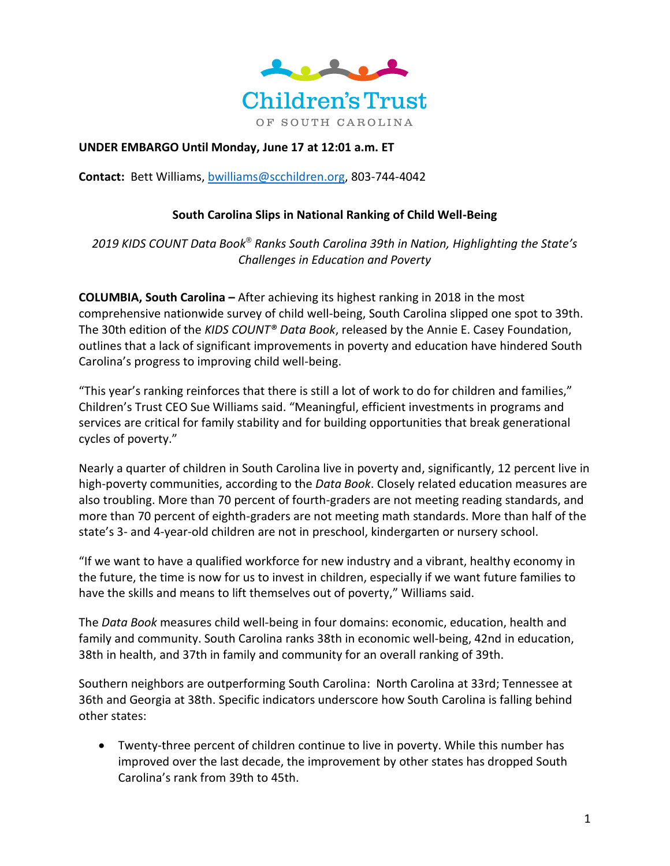

## **UNDER EMBARGO Until Monday, June 17 at 12:01 a.m. ET**

**Contact:** Bett Williams, [bwilliams@scchildren.org,](mailto:bwilliams@scchildren.org) 803-744-4042

### **South Carolina Slips in National Ranking of Child Well-Being**

*2019 KIDS COUNT Data Book® Ranks South Carolina 39th in Nation, Highlighting the State's Challenges in Education and Poverty* 

**COLUMBIA, South Carolina –** After achieving its highest ranking in 2018 in the most comprehensive nationwide survey of child well-being, South Carolina slipped one spot to 39th. The 30th edition of the *KIDS COUNT® Data Book*, released by the Annie E. Casey Foundation, outlines that a lack of significant improvements in poverty and education have hindered South Carolina's progress to improving child well-being.

"This year's ranking reinforces that there is still a lot of work to do for children and families," Children's Trust CEO Sue Williams said. "Meaningful, efficient investments in programs and services are critical for family stability and for building opportunities that break generational cycles of poverty."

Nearly a quarter of children in South Carolina live in poverty and, significantly, 12 percent live in high-poverty communities, according to the *Data Book*. Closely related education measures are also troubling. More than 70 percent of fourth-graders are not meeting reading standards, and more than 70 percent of eighth-graders are not meeting math standards. More than half of the state's 3- and 4-year-old children are not in preschool, kindergarten or nursery school.

"If we want to have a qualified workforce for new industry and a vibrant, healthy economy in the future, the time is now for us to invest in children, especially if we want future families to have the skills and means to lift themselves out of poverty," Williams said.

The *Data Book* measures child well-being in four domains: economic, education, health and family and community. South Carolina ranks 38th in economic well-being, 42nd in education, 38th in health, and 37th in family and community for an overall ranking of 39th.

Southern neighbors are outperforming South Carolina: North Carolina at 33rd; Tennessee at 36th and Georgia at 38th. Specific indicators underscore how South Carolina is falling behind other states:

• Twenty-three percent of children continue to live in poverty. While this number has improved over the last decade, the improvement by other states has dropped South Carolina's rank from 39th to 45th.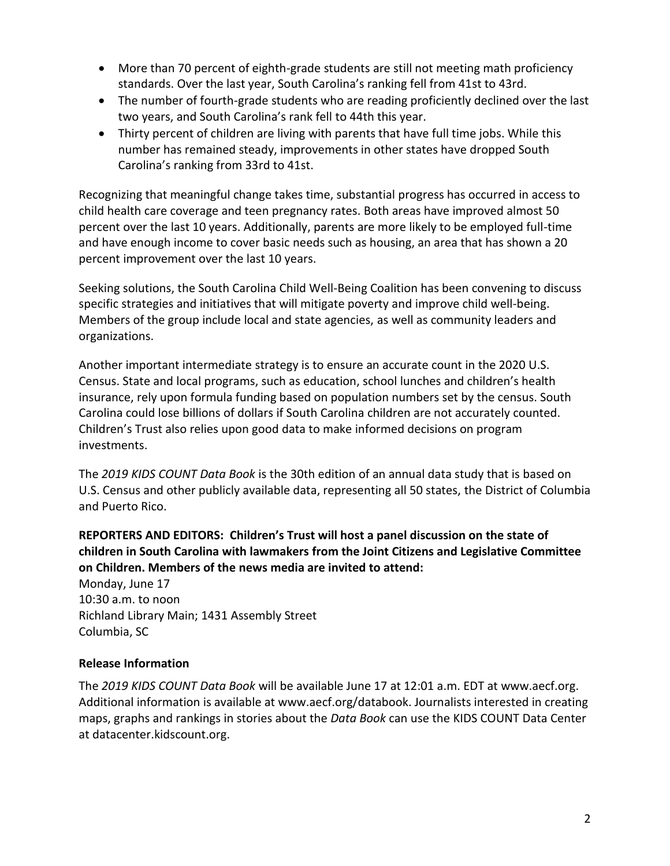- More than 70 percent of eighth-grade students are still not meeting math proficiency standards. Over the last year, South Carolina's ranking fell from 41st to 43rd.
- The number of fourth-grade students who are reading proficiently declined over the last two years, and South Carolina's rank fell to 44th this year.
- Thirty percent of children are living with parents that have full time jobs. While this number has remained steady, improvements in other states have dropped South Carolina's ranking from 33rd to 41st.

Recognizing that meaningful change takes time, substantial progress has occurred in access to child health care coverage and teen pregnancy rates. Both areas have improved almost 50 percent over the last 10 years. Additionally, parents are more likely to be employed full-time and have enough income to cover basic needs such as housing, an area that has shown a 20 percent improvement over the last 10 years.

Seeking solutions, the South Carolina Child Well-Being Coalition has been convening to discuss specific strategies and initiatives that will mitigate poverty and improve child well-being. Members of the group include local and state agencies, as well as community leaders and organizations.

Another important intermediate strategy is to ensure an accurate count in the 2020 U.S. Census. State and local programs, such as education, school lunches and children's health insurance, rely upon formula funding based on population numbers set by the census. South Carolina could lose billions of dollars if South Carolina children are not accurately counted. Children's Trust also relies upon good data to make informed decisions on program investments.

The *2019 KIDS COUNT Data Book* is the 30th edition of an annual data study that is based on U.S. Census and other publicly available data, representing all 50 states, the District of Columbia and Puerto Rico.

# **REPORTERS AND EDITORS: Children's Trust will host a panel discussion on the state of children in South Carolina with lawmakers from the Joint Citizens and Legislative Committee on Children. Members of the news media are invited to attend:**

Monday, June 17 10:30 a.m. to noon Richland Library Main; 1431 Assembly Street Columbia, SC

## **Release Information**

The *2019 KIDS COUNT Data Book* will be available June 17 at 12:01 a.m. EDT at www.aecf.org. Additional information is available at www.aecf.org/databook. Journalists interested in creating maps, graphs and rankings in stories about the *Data Book* can use the KIDS COUNT Data Center at datacenter.kidscount.org.